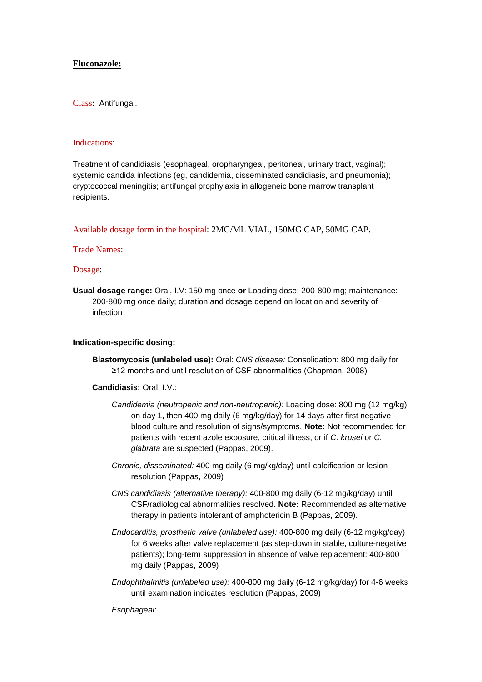# **Fluconazole:**

Class: Antifungal.

#### Indications:

Treatment of candidiasis (esophageal, oropharyngeal, peritoneal, urinary tract, vaginal); systemic candida infections (eg, candidemia, disseminated candidiasis, and pneumonia); cryptococcal meningitis; antifungal prophylaxis in allogeneic bone marrow transplant recipients.

Available dosage form in the hospital: 2MG/ML VIAL, 150MG CAP, 50MG CAP.

## Trade Names:

### Dosage:

**Usual dosage range:** Oral, I.V: 150 mg once **or** Loading dose: 200-800 mg; maintenance: 200-800 mg once daily; duration and dosage depend on location and severity of infection

#### **Indication-specific dosing:**

**Blastomycosis (unlabeled use):** Oral: *CNS disease:* Consolidation: 800 mg daily for ≥12 months and until resolution of CSF abnormalities (Chapman, 2008)

# **Candidiasis:** Oral, I.V.:

- *Candidemia (neutropenic and non-neutropenic):* Loading dose: 800 mg (12 mg/kg) on day 1, then 400 mg daily (6 mg/kg/day) for 14 days after first negative blood culture and resolution of signs/symptoms. **Note:** Not recommended for patients with recent azole exposure, critical illness, or if *C. krusei* or *C. glabrata* are suspected (Pappas, 2009).
- *Chronic, disseminated:* 400 mg daily (6 mg/kg/day) until calcification or lesion resolution (Pappas, 2009)
- *CNS candidiasis (alternative therapy):* 400-800 mg daily (6-12 mg/kg/day) until CSF/radiological abnormalities resolved. **Note:** Recommended as alternative therapy in patients intolerant of amphotericin B (Pappas, 2009).
- *Endocarditis, prosthetic valve (unlabeled use):* 400-800 mg daily (6-12 mg/kg/day) for 6 weeks after valve replacement (as step-down in stable, culture-negative patients); long-term suppression in absence of valve replacement: 400-800 mg daily (Pappas, 2009)
- *Endophthalmitis (unlabeled use):* 400-800 mg daily (6-12 mg/kg/day) for 4-6 weeks until examination indicates resolution (Pappas, 2009)

#### *Esophageal:*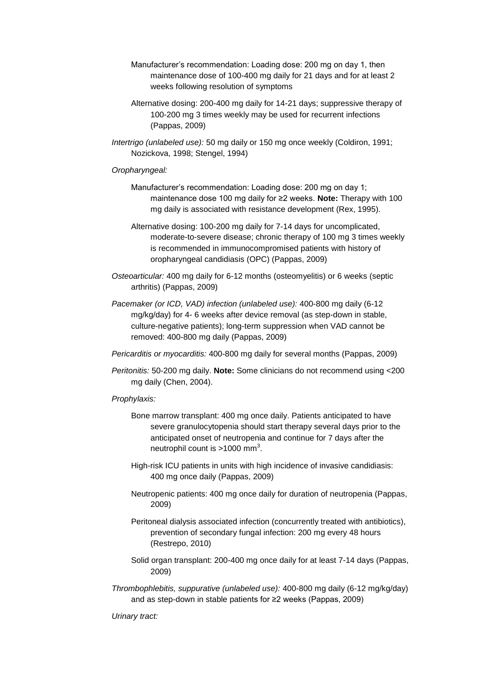- Manufacturer's recommendation: Loading dose: 200 mg on day 1, then maintenance dose of 100-400 mg daily for 21 days and for at least 2 weeks following resolution of symptoms
- Alternative dosing: 200-400 mg daily for 14-21 days; suppressive therapy of 100-200 mg 3 times weekly may be used for recurrent infections (Pappas, 2009)
- *Intertrigo (unlabeled use):* 50 mg daily or 150 mg once weekly (Coldiron, 1991; Nozickova, 1998; Stengel, 1994)

#### *Oropharyngeal:*

- Manufacturer's recommendation: Loading dose: 200 mg on day 1; maintenance dose 100 mg daily for ≥2 weeks. **Note:** Therapy with 100 mg daily is associated with resistance development (Rex, 1995).
- Alternative dosing: 100-200 mg daily for 7-14 days for uncomplicated, moderate-to-severe disease; chronic therapy of 100 mg 3 times weekly is recommended in immunocompromised patients with history of oropharyngeal candidiasis (OPC) (Pappas, 2009)
- *Osteoarticular:* 400 mg daily for 6-12 months (osteomyelitis) or 6 weeks (septic arthritis) (Pappas, 2009)
- *Pacemaker (or ICD, VAD) infection (unlabeled use):* 400-800 mg daily (6-12 mg/kg/day) for 4- 6 weeks after device removal (as step-down in stable, culture-negative patients); long-term suppression when VAD cannot be removed: 400-800 mg daily (Pappas, 2009)
- *Pericarditis or myocarditis:* 400-800 mg daily for several months (Pappas, 2009)
- *Peritonitis:* 50-200 mg daily. **Note:** Some clinicians do not recommend using <200 mg daily (Chen, 2004).

#### *Prophylaxis:*

- Bone marrow transplant: 400 mg once daily. Patients anticipated to have severe granulocytopenia should start therapy several days prior to the anticipated onset of neutropenia and continue for 7 days after the neutrophil count is  $>1000$  mm<sup>3</sup>.
- High-risk ICU patients in units with high incidence of invasive candidiasis: 400 mg once daily (Pappas, 2009)
- Neutropenic patients: 400 mg once daily for duration of neutropenia (Pappas, 2009)
- Peritoneal dialysis associated infection (concurrently treated with antibiotics), prevention of secondary fungal infection: 200 mg every 48 hours (Restrepo, 2010)
- Solid organ transplant: 200-400 mg once daily for at least 7-14 days (Pappas, 2009)
- *Thrombophlebitis, suppurative (unlabeled use):* 400-800 mg daily (6-12 mg/kg/day) and as step-down in stable patients for ≥2 weeks (Pappas, 2009)

# *Urinary tract:*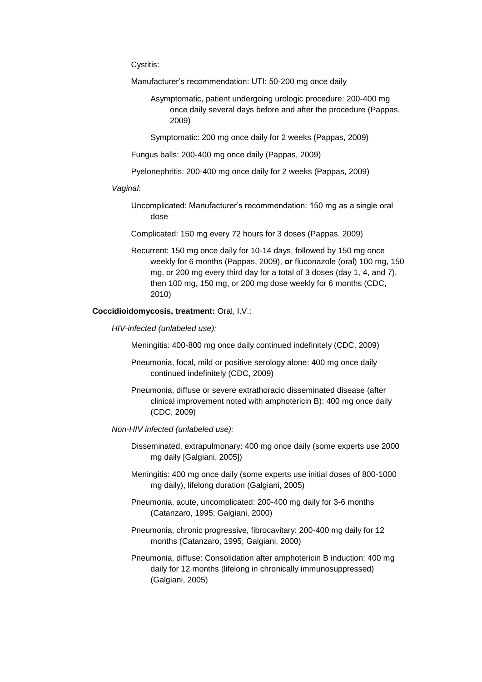Cystitis:

Manufacturer's recommendation: UTI: 50-200 mg once daily

- Asymptomatic, patient undergoing urologic procedure: 200-400 mg once daily several days before and after the procedure (Pappas, 2009)
- Symptomatic: 200 mg once daily for 2 weeks (Pappas, 2009)

Fungus balls: 200-400 mg once daily (Pappas, 2009)

Pyelonephritis: 200-400 mg once daily for 2 weeks (Pappas, 2009)

#### *Vaginal:*

Uncomplicated: Manufacturer's recommendation: 150 mg as a single oral dose

Complicated: 150 mg every 72 hours for 3 doses (Pappas, 2009)

Recurrent: 150 mg once daily for 10-14 days, followed by 150 mg once weekly for 6 months (Pappas, 2009), **or** fluconazole (oral) 100 mg, 150 mg, or 200 mg every third day for a total of 3 doses (day 1, 4, and 7), then 100 mg, 150 mg, or 200 mg dose weekly for 6 months (CDC, 2010)

#### **Coccidioidomycosis, treatment:** Oral, I.V.:

*HIV-infected (unlabeled use):*

- Meningitis: 400-800 mg once daily continued indefinitely (CDC, 2009)
- Pneumonia, focal, mild or positive serology alone: 400 mg once daily continued indefinitely (CDC, 2009)
- Pneumonia, diffuse or severe extrathoracic disseminated disease (after clinical improvement noted with amphotericin B): 400 mg once daily (CDC, 2009)

*Non-HIV infected (unlabeled use):*

- Disseminated, extrapulmonary: 400 mg once daily (some experts use 2000 mg daily [Galgiani, 2005])
- Meningitis: 400 mg once daily (some experts use initial doses of 800-1000 mg daily), lifelong duration (Galgiani, 2005)
- Pneumonia, acute, uncomplicated: 200-400 mg daily for 3-6 months (Catanzaro, 1995; Galgiani, 2000)
- Pneumonia, chronic progressive, fibrocavitary: 200-400 mg daily for 12 months (Catanzaro, 1995; Galgiani, 2000)

Pneumonia, diffuse: Consolidation after amphotericin B induction: 400 mg daily for 12 months (lifelong in chronically immunosuppressed) (Galgiani, 2005)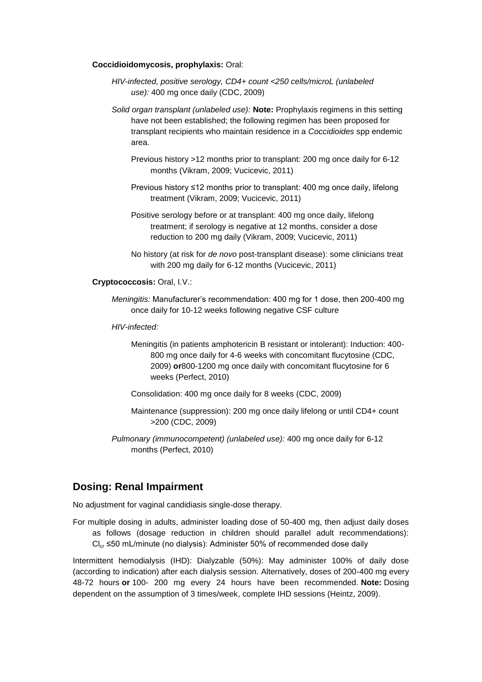## **Coccidioidomycosis, prophylaxis:** Oral:

- *HIV-infected, positive serology, CD4+ count <250 cells/microL (unlabeled use):* 400 mg once daily (CDC, 2009)
- *Solid organ transplant (unlabeled use):* **Note:** Prophylaxis regimens in this setting have not been established; the following regimen has been proposed for transplant recipients who maintain residence in a *Coccidioides* spp endemic area.
	- Previous history >12 months prior to transplant: 200 mg once daily for 6-12 months (Vikram, 2009; Vucicevic, 2011)
	- Previous history ≤12 months prior to transplant: 400 mg once daily, lifelong treatment (Vikram, 2009; Vucicevic, 2011)
	- Positive serology before or at transplant: 400 mg once daily, lifelong treatment; if serology is negative at 12 months, consider a dose reduction to 200 mg daily (Vikram, 2009; Vucicevic, 2011)
	- No history (at risk for *de novo* post-transplant disease): some clinicians treat with 200 mg daily for 6-12 months (Vucicevic, 2011)

# **Cryptococcosis:** Oral, I.V.:

- *Meningitis:* Manufacturer's recommendation: 400 mg for 1 dose, then 200-400 mg once daily for 10-12 weeks following negative CSF culture
- *HIV-infected:*
	- Meningitis (in patients amphotericin B resistant or intolerant): Induction: 400- 800 mg once daily for 4-6 weeks with concomitant flucytosine (CDC, 2009) **or**800-1200 mg once daily with concomitant flucytosine for 6 weeks (Perfect, 2010)
	- Consolidation: 400 mg once daily for 8 weeks (CDC, 2009)
	- Maintenance (suppression): 200 mg once daily lifelong or until CD4+ count >200 (CDC, 2009)
- *Pulmonary (immunocompetent) (unlabeled use):* 400 mg once daily for 6-12 months (Perfect, 2010)

# **Dosing: Renal Impairment**

No adjustment for vaginal candidiasis single-dose therapy.

For multiple dosing in adults, administer loading dose of 50-400 mg, then adjust daily doses as follows (dosage reduction in children should parallel adult recommendations):  $Cl<sub>cr</sub> \leq 50$  mL/minute (no dialysis): Administer 50% of recommended dose daily

Intermittent hemodialysis (IHD): Dialyzable (50%): May administer 100% of daily dose (according to indication) after each dialysis session. Alternatively, doses of 200-400 mg every 48-72 hours **or** 100- 200 mg every 24 hours have been recommended. **Note:** Dosing dependent on the assumption of 3 times/week, complete IHD sessions (Heintz, 2009).